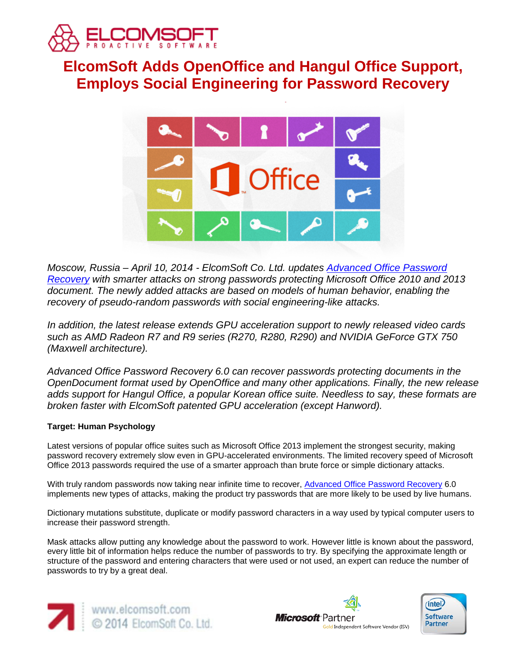

# **ElcomSoft Adds OpenOffice and Hangul Office Support, Employs Social Engineering for Password Recovery**



*Moscow, Russia – April 10, 2014 - ElcomSoft Co. Ltd. updates [Advanced Office Password](http://www.elcomsoft.com/aopr.html)  [Recovery](http://www.elcomsoft.com/aopr.html) with smarter attacks on strong passwords protecting Microsoft Office 2010 and 2013 document. The newly added attacks are based on models of human behavior, enabling the recovery of pseudo-random passwords with social engineering-like attacks.*

*In addition, the latest release extends GPU acceleration support to newly released video cards such as AMD Radeon R7 and R9 series (R270, R280, R290) and NVIDIA GeForce GTX 750 (Maxwell architecture).*

*Advanced Office Password Recovery 6.0 can recover passwords protecting documents in the OpenDocument format used by OpenOffice and many other applications. Finally, the new release adds support for Hangul Office, a popular Korean office suite. Needless to say, these formats are broken faster with ElcomSoft patented GPU acceleration (except Hanword).*

## **Target: Human Psychology**

Latest versions of popular office suites such as Microsoft Office 2013 implement the strongest security, making password recovery extremely slow even in GPU-accelerated environments. The limited recovery speed of Microsoft Office 2013 passwords required the use of a smarter approach than brute force or simple dictionary attacks.

With truly random passwords now taking near infinite time to recover, [Advanced Office Password Recovery](http://www.elcomsoft.com/aopr.html) 6.0 implements new types of attacks, making the product try passwords that are more likely to be used by live humans.

Dictionary mutations substitute, duplicate or modify password characters in a way used by typical computer users to increase their password strength.

Mask attacks allow putting any knowledge about the password to work. However little is known about the password, every little bit of information helps reduce the number of passwords to try. By specifying the approximate length or structure of the password and entering characters that were used or not used, an expert can reduce the number of passwords to try by a great deal.